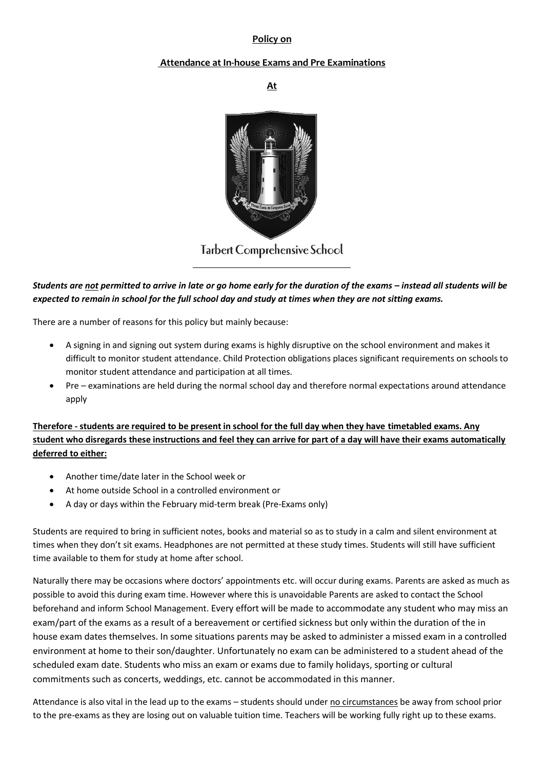## **Policy on**

## **Attendance at In-house Exams and Pre Examinations**

**At**



**Tarbert Comprehensive School** 

*Students are not permitted to arrive in late or go home early for the duration of the exams – instead all students will be expected to remain in school for the full school day and study at times when they are not sitting exams.* 

There are a number of reasons for this policy but mainly because:

- A signing in and signing out system during exams is highly disruptive on the school environment and makes it difficult to monitor student attendance. Child Protection obligations places significant requirements on schools to monitor student attendance and participation at all times.
- Pre examinations are held during the normal school day and therefore normal expectations around attendance apply

**Therefore - students are required to be present in school for the full day when they have timetabled exams. Any student who disregards these instructions and feel they can arrive for part of a day will have their exams automatically deferred to either:** 

- Another time/date later in the School week or
- At home outside School in a controlled environment or
- A day or days within the February mid-term break (Pre-Exams only)

Students are required to bring in sufficient notes, books and material so as to study in a calm and silent environment at times when they don't sit exams. Headphones are not permitted at these study times. Students will still have sufficient time available to them for study at home after school.

Naturally there may be occasions where doctors' appointments etc. will occur during exams. Parents are asked as much as possible to avoid this during exam time. However where this is unavoidable Parents are asked to contact the School beforehand and inform School Management. Every effort will be made to accommodate any student who may miss an exam/part of the exams as a result of a bereavement or certified sickness but only within the duration of the in house exam dates themselves. In some situations parents may be asked to administer a missed exam in a controlled environment at home to their son/daughter. Unfortunately no exam can be administered to a student ahead of the scheduled exam date. Students who miss an exam or exams due to family holidays, sporting or cultural commitments such as concerts, weddings, etc. cannot be accommodated in this manner.

Attendance is also vital in the lead up to the exams – students should under no circumstances be away from school prior to the pre-exams as they are losing out on valuable tuition time. Teachers will be working fully right up to these exams.